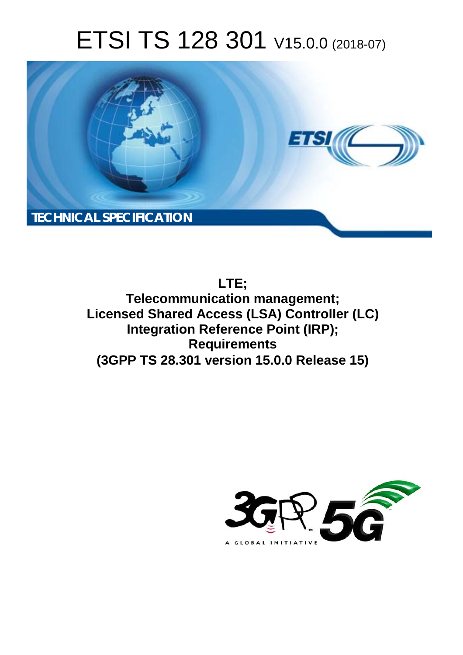# ETSI TS 128 301 V15.0.0 (2018-07)



**LTE;**

**Telecommunication management; Licensed Shared Access (LSA) Controller (LC) Integration Reference Point (IRP); Requirements (3GPP TS 28.301 version 15.0.0 Release 15)** 

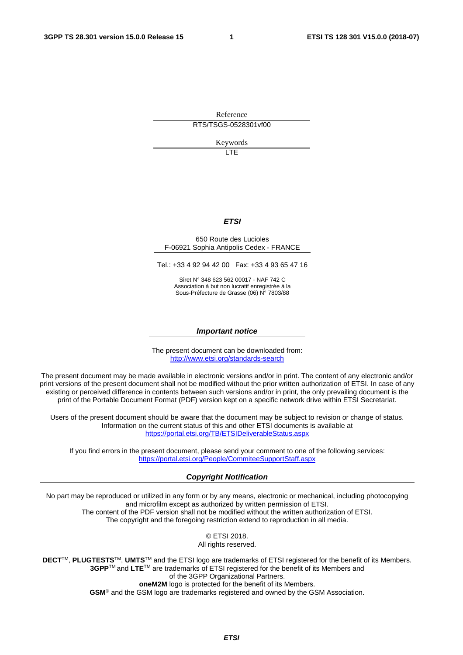Reference RTS/TSGS-0528301vf00

Keywords

LTE

#### *ETSI*

#### 650 Route des Lucioles F-06921 Sophia Antipolis Cedex - FRANCE

Tel.: +33 4 92 94 42 00 Fax: +33 4 93 65 47 16

Siret N° 348 623 562 00017 - NAF 742 C Association à but non lucratif enregistrée à la Sous-Préfecture de Grasse (06) N° 7803/88

#### *Important notice*

The present document can be downloaded from: <http://www.etsi.org/standards-search>

The present document may be made available in electronic versions and/or in print. The content of any electronic and/or print versions of the present document shall not be modified without the prior written authorization of ETSI. In case of any existing or perceived difference in contents between such versions and/or in print, the only prevailing document is the print of the Portable Document Format (PDF) version kept on a specific network drive within ETSI Secretariat.

Users of the present document should be aware that the document may be subject to revision or change of status. Information on the current status of this and other ETSI documents is available at <https://portal.etsi.org/TB/ETSIDeliverableStatus.aspx>

If you find errors in the present document, please send your comment to one of the following services: <https://portal.etsi.org/People/CommiteeSupportStaff.aspx>

#### *Copyright Notification*

No part may be reproduced or utilized in any form or by any means, electronic or mechanical, including photocopying and microfilm except as authorized by written permission of ETSI. The content of the PDF version shall not be modified without the written authorization of ETSI. The copyright and the foregoing restriction extend to reproduction in all media.

> © ETSI 2018. All rights reserved.

**DECT**TM, **PLUGTESTS**TM, **UMTS**TM and the ETSI logo are trademarks of ETSI registered for the benefit of its Members. **3GPP**TM and **LTE**TM are trademarks of ETSI registered for the benefit of its Members and of the 3GPP Organizational Partners. **oneM2M** logo is protected for the benefit of its Members.

**GSM**® and the GSM logo are trademarks registered and owned by the GSM Association.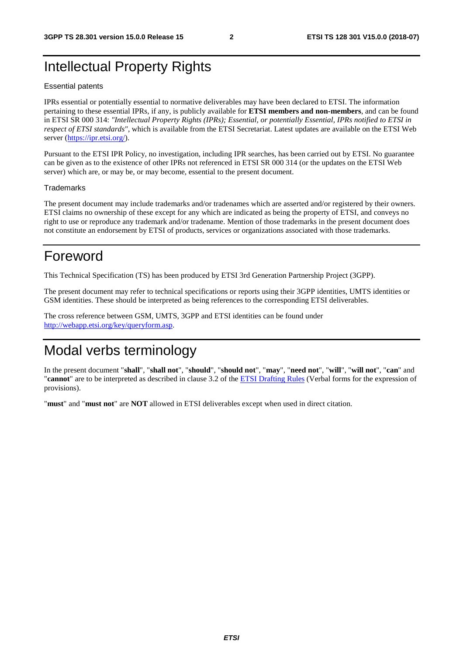### Intellectual Property Rights

#### Essential patents

IPRs essential or potentially essential to normative deliverables may have been declared to ETSI. The information pertaining to these essential IPRs, if any, is publicly available for **ETSI members and non-members**, and can be found in ETSI SR 000 314: *"Intellectual Property Rights (IPRs); Essential, or potentially Essential, IPRs notified to ETSI in respect of ETSI standards"*, which is available from the ETSI Secretariat. Latest updates are available on the ETSI Web server ([https://ipr.etsi.org/\)](https://ipr.etsi.org/).

Pursuant to the ETSI IPR Policy, no investigation, including IPR searches, has been carried out by ETSI. No guarantee can be given as to the existence of other IPRs not referenced in ETSI SR 000 314 (or the updates on the ETSI Web server) which are, or may be, or may become, essential to the present document.

#### **Trademarks**

The present document may include trademarks and/or tradenames which are asserted and/or registered by their owners. ETSI claims no ownership of these except for any which are indicated as being the property of ETSI, and conveys no right to use or reproduce any trademark and/or tradename. Mention of those trademarks in the present document does not constitute an endorsement by ETSI of products, services or organizations associated with those trademarks.

### Foreword

This Technical Specification (TS) has been produced by ETSI 3rd Generation Partnership Project (3GPP).

The present document may refer to technical specifications or reports using their 3GPP identities, UMTS identities or GSM identities. These should be interpreted as being references to the corresponding ETSI deliverables.

The cross reference between GSM, UMTS, 3GPP and ETSI identities can be found under [http://webapp.etsi.org/key/queryform.asp.](http://webapp.etsi.org/key/queryform.asp)

### Modal verbs terminology

In the present document "**shall**", "**shall not**", "**should**", "**should not**", "**may**", "**need not**", "**will**", "**will not**", "**can**" and "**cannot**" are to be interpreted as described in clause 3.2 of the [ETSI Drafting Rules](https://portal.etsi.org/Services/editHelp!/Howtostart/ETSIDraftingRules.aspx) (Verbal forms for the expression of provisions).

"**must**" and "**must not**" are **NOT** allowed in ETSI deliverables except when used in direct citation.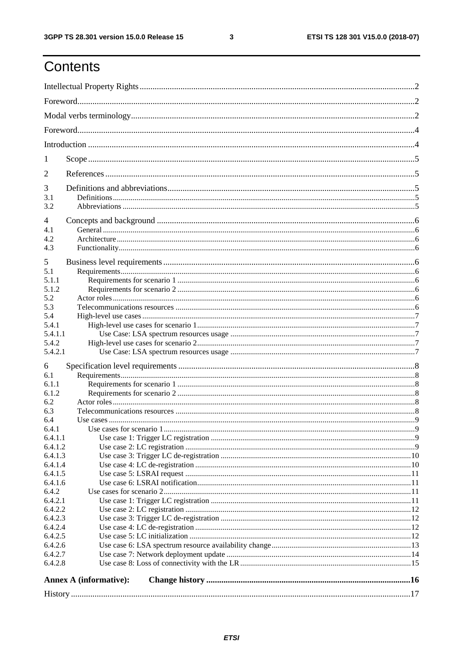$\mathbf{3}$ 

# Contents

| 1                  |                        |  |  |
|--------------------|------------------------|--|--|
| 2                  |                        |  |  |
| 3                  |                        |  |  |
| 3.1                |                        |  |  |
| 3.2                |                        |  |  |
| 4                  |                        |  |  |
| 4.1                |                        |  |  |
| 4.2                |                        |  |  |
| 4.3                |                        |  |  |
| 5                  |                        |  |  |
| 5.1                |                        |  |  |
| 5.1.1              |                        |  |  |
| 5.1.2              |                        |  |  |
| 5.2                |                        |  |  |
| 5.3                |                        |  |  |
| 5.4                |                        |  |  |
| 5.4.1              |                        |  |  |
| 5.4.1.1            |                        |  |  |
| 5.4.2              |                        |  |  |
| 5.4.2.1            |                        |  |  |
| 6                  |                        |  |  |
| 6.1                |                        |  |  |
| 6.1.1              |                        |  |  |
| 6.1.2              |                        |  |  |
| 6.2                |                        |  |  |
| 6.3                |                        |  |  |
| 6.4                |                        |  |  |
| 6.4.1              |                        |  |  |
| 6.4.1.1            |                        |  |  |
| 6.4.1.2            |                        |  |  |
| 6.4.1.3<br>6.4.1.4 |                        |  |  |
| 6.4.1.5            |                        |  |  |
| 6.4.1.6            |                        |  |  |
| 6.4.2              |                        |  |  |
| 6.4.2.1            |                        |  |  |
| 6.4.2.2            |                        |  |  |
| 6.4.2.3            |                        |  |  |
| 6.4.2.4            |                        |  |  |
| 6.4.2.5            |                        |  |  |
| 6.4.2.6            |                        |  |  |
| 6.4.2.7            |                        |  |  |
| 6.4.2.8            |                        |  |  |
|                    | Annex A (informative): |  |  |
|                    |                        |  |  |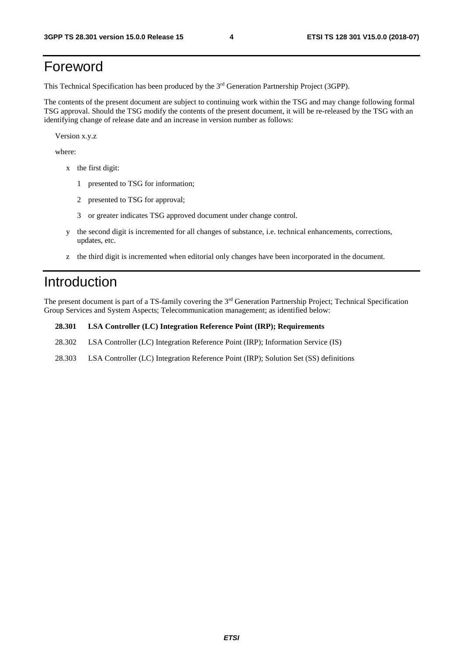### Foreword

This Technical Specification has been produced by the 3rd Generation Partnership Project (3GPP).

The contents of the present document are subject to continuing work within the TSG and may change following formal TSG approval. Should the TSG modify the contents of the present document, it will be re-released by the TSG with an identifying change of release date and an increase in version number as follows:

Version x.y.z

where:

- x the first digit:
	- 1 presented to TSG for information;
	- 2 presented to TSG for approval;
	- 3 or greater indicates TSG approved document under change control.
- y the second digit is incremented for all changes of substance, i.e. technical enhancements, corrections, updates, etc.
- z the third digit is incremented when editorial only changes have been incorporated in the document.

#### Introduction

The present document is part of a TS-family covering the 3rd Generation Partnership Project; Technical Specification Group Services and System Aspects; Telecommunication management; as identified below:

#### **28.301 LSA Controller (LC) Integration Reference Point (IRP); Requirements**

- 28.302 LSA Controller (LC) Integration Reference Point (IRP); Information Service (IS)
- 28.303 LSA Controller (LC) Integration Reference Point (IRP); Solution Set (SS) definitions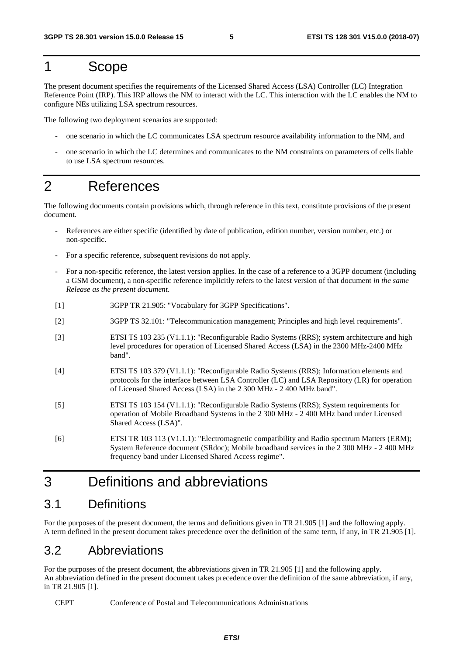#### 1 Scope

The present document specifies the requirements of the Licensed Shared Access (LSA) Controller (LC) Integration Reference Point (IRP). This IRP allows the NM to interact with the LC. This interaction with the LC enables the NM to configure NEs utilizing LSA spectrum resources.

The following two deployment scenarios are supported:

- one scenario in which the LC communicates LSA spectrum resource availability information to the NM, and
- one scenario in which the LC determines and communicates to the NM constraints on parameters of cells liable to use LSA spectrum resources.

### 2 References

The following documents contain provisions which, through reference in this text, constitute provisions of the present document.

- References are either specific (identified by date of publication, edition number, version number, etc.) or non-specific.
- For a specific reference, subsequent revisions do not apply.
- For a non-specific reference, the latest version applies. In the case of a reference to a 3GPP document (including a GSM document), a non-specific reference implicitly refers to the latest version of that document *in the same Release as the present document*.
- [1] 3GPP TR 21.905: "Vocabulary for 3GPP Specifications".
- [2] 3GPP TS 32.101: "Telecommunication management; Principles and high level requirements".
- [3] ETSI TS 103 235 (V1.1.1): "Reconfigurable Radio Systems (RRS); system architecture and high level procedures for operation of Licensed Shared Access (LSA) in the 2300 MHz-2400 MHz band".
- [4] ETSI TS 103 379 (V1.1.1): "Reconfigurable Radio Systems (RRS); Information elements and protocols for the interface between LSA Controller (LC) and LSA Repository (LR) for operation of Licensed Shared Access (LSA) in the 2 300 MHz - 2 400 MHz band".
- [5] ETSI TS 103 154 (V1.1.1): "Reconfigurable Radio Systems (RRS); System requirements for operation of Mobile Broadband Systems in the 2 300 MHz - 2 400 MHz band under Licensed Shared Access (LSA)".
- [6] ETSI TR 103 113 (V1.1.1): "Electromagnetic compatibility and Radio spectrum Matters (ERM); System Reference document (SRdoc); Mobile broadband services in the 2 300 MHz - 2 400 MHz frequency band under Licensed Shared Access regime".

### 3 Definitions and abbreviations

#### 3.1 Definitions

For the purposes of the present document, the terms and definitions given in TR 21.905 [1] and the following apply. A term defined in the present document takes precedence over the definition of the same term, if any, in TR 21.905 [1].

#### 3.2 Abbreviations

For the purposes of the present document, the abbreviations given in TR 21.905 [1] and the following apply. An abbreviation defined in the present document takes precedence over the definition of the same abbreviation, if any, in TR 21.905 [1].

CEPT Conference of Postal and Telecommunications Administrations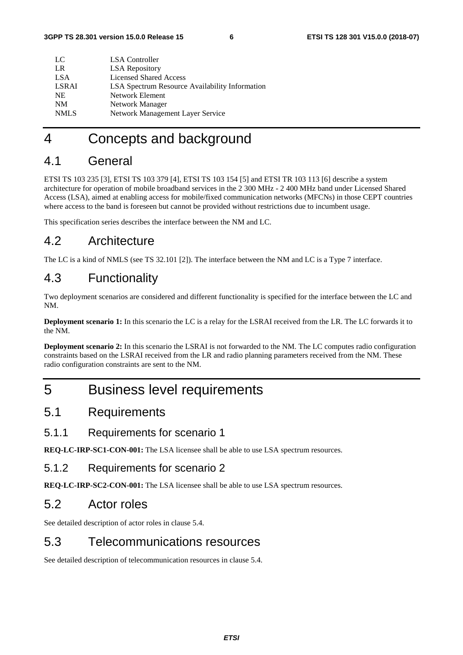| LC           | LSA Controller                                        |
|--------------|-------------------------------------------------------|
| LR           | <b>LSA</b> Repository                                 |
| LSA          | Licensed Shared Access                                |
| <b>LSRAI</b> | <b>LSA Spectrum Resource Availability Information</b> |
| NE.          | Network Element                                       |
| <b>NM</b>    | Network Manager                                       |
| <b>NMLS</b>  | Network Management Layer Service                      |
|              |                                                       |

### 4 Concepts and background

#### 4.1 General

ETSI TS 103 235 [3], ETSI TS 103 379 [4], ETSI TS 103 154 [5] and ETSI TR 103 113 [6] describe a system architecture for operation of mobile broadband services in the 2 300 MHz - 2 400 MHz band under Licensed Shared Access (LSA), aimed at enabling access for mobile/fixed communication networks (MFCNs) in those CEPT countries where access to the band is foreseen but cannot be provided without restrictions due to incumbent usage.

This specification series describes the interface between the NM and LC.

#### 4.2 Architecture

The LC is a kind of NMLS (see TS 32.101 [2]). The interface between the NM and LC is a Type 7 interface.

#### 4.3 Functionality

Two deployment scenarios are considered and different functionality is specified for the interface between the LC and NM.

**Deployment scenario 1:** In this scenario the LC is a relay for the LSRAI received from the LR. The LC forwards it to the NM.

**Deployment scenario 2:** In this scenario the LSRAI is not forwarded to the NM. The LC computes radio configuration constraints based on the LSRAI received from the LR and radio planning parameters received from the NM. These radio configuration constraints are sent to the NM.

### 5 Business level requirements

#### 5.1 Requirements

#### 5.1.1 Requirements for scenario 1

**REQ-LC-IRP-SC1-CON-001:** The LSA licensee shall be able to use LSA spectrum resources.

#### 5.1.2 Requirements for scenario 2

**REQ-LC-IRP-SC2-CON-001:** The LSA licensee shall be able to use LSA spectrum resources.

#### 5.2 Actor roles

See detailed description of actor roles in clause 5.4.

#### 5.3 Telecommunications resources

See detailed description of telecommunication resources in clause 5.4.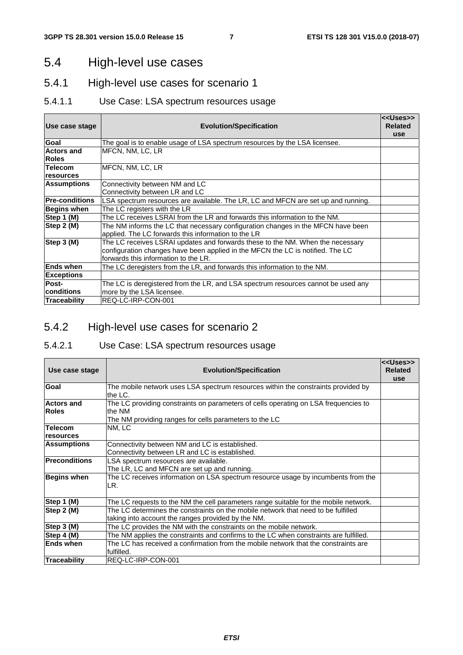#### 5.4 High-level use cases

#### 5.4.1 High-level use cases for scenario 1

#### 5.4.1.1 Use Case: LSA spectrum resources usage

| Use case stage                     | <b>Evolution/Specification</b>                                                                                                                                                                           | < <uses>&gt;<br/><b>Related</b></uses> |
|------------------------------------|----------------------------------------------------------------------------------------------------------------------------------------------------------------------------------------------------------|----------------------------------------|
| Goal                               | The goal is to enable usage of LSA spectrum resources by the LSA licensee.                                                                                                                               | <b>use</b>                             |
| <b>Actors and</b><br><b>Roles</b>  | MFCN, NM, LC, LR                                                                                                                                                                                         |                                        |
| <b>Telecom</b><br><b>resources</b> | MFCN, NM, LC, LR                                                                                                                                                                                         |                                        |
| <b>Assumptions</b>                 | Connectivity between NM and LC<br>Connectivity between LR and LC                                                                                                                                         |                                        |
| <b>Pre-conditions</b>              | LSA spectrum resources are available. The LR, LC and MFCN are set up and running.                                                                                                                        |                                        |
| Begins when                        | The LC registers with the LR                                                                                                                                                                             |                                        |
| Step 1 (M)                         | The LC receives LSRAI from the LR and forwards this information to the NM.                                                                                                                               |                                        |
| Step 2 (M)                         | The NM informs the LC that necessary configuration changes in the MFCN have been<br>applied. The LC forwards this information to the LR                                                                  |                                        |
| Step 3 (M)                         | The LC receives LSRAI updates and forwards these to the NM. When the necessary<br>configuration changes have been applied in the MFCN the LC is notified. The LC<br>forwards this information to the LR. |                                        |
| <b>Ends when</b>                   | The LC deregisters from the LR, and forwards this information to the NM.                                                                                                                                 |                                        |
| <b>Exceptions</b>                  |                                                                                                                                                                                                          |                                        |
| Post-                              | The LC is deregistered from the LR, and LSA spectrum resources cannot be used any                                                                                                                        |                                        |
| Iconditions                        | more by the LSA licensee.                                                                                                                                                                                |                                        |
| Traceability                       | REQ-LC-IRP-CON-001                                                                                                                                                                                       |                                        |

#### 5.4.2 High-level use cases for scenario 2

#### 5.4.2.1 Use Case: LSA spectrum resources usage

| Use case stage                    | <b>Evolution/Specification</b>                                                                                                                          | < <uses>&gt;<br/><b>Related</b><br/>use</uses> |
|-----------------------------------|---------------------------------------------------------------------------------------------------------------------------------------------------------|------------------------------------------------|
| Goal                              | The mobile network uses LSA spectrum resources within the constraints provided by<br>the LC.                                                            |                                                |
| <b>Actors and</b><br><b>Roles</b> | The LC providing constraints on parameters of cells operating on LSA frequencies to<br>the NM<br>The NM providing ranges for cells parameters to the LC |                                                |
| <b>Telecom</b><br>resources       | NM, LC                                                                                                                                                  |                                                |
| <b>Assumptions</b>                | Connectivity between NM and LC is established.<br>Connectivity between LR and LC is established.                                                        |                                                |
| <b>Preconditions</b>              | LSA spectrum resources are available.<br>The LR, LC and MFCN are set up and running.                                                                    |                                                |
| <b>Begins when</b>                | The LC receives information on LSA spectrum resource usage by incumbents from the<br>LR.                                                                |                                                |
| Step 1 (M)                        | The LC requests to the NM the cell parameters range suitable for the mobile network.                                                                    |                                                |
| Step 2 (M)                        | The LC determines the constraints on the mobile network that need to be fulfilled<br>taking into account the ranges provided by the NM.                 |                                                |
| Step 3 (M)                        | The LC provides the NM with the constraints on the mobile network.                                                                                      |                                                |
| Step 4 (M)                        | The NM applies the constraints and confirms to the LC when constraints are fulfilled.                                                                   |                                                |
| <b>Ends when</b>                  | The LC has received a confirmation from the mobile network that the constraints are<br>fulfilled.                                                       |                                                |
| Traceability                      | REQ-LC-IRP-CON-001                                                                                                                                      |                                                |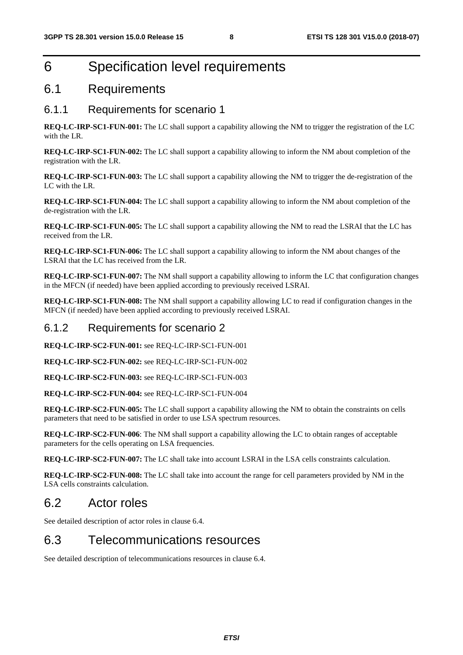### 6 Specification level requirements

#### 6.1 Requirements

#### 6.1.1 Requirements for scenario 1

**REQ-LC-IRP-SC1-FUN-001:** The LC shall support a capability allowing the NM to trigger the registration of the LC with the LR.

**REQ-LC-IRP-SC1-FUN-002:** The LC shall support a capability allowing to inform the NM about completion of the registration with the LR.

**REQ-LC-IRP-SC1-FUN-003:** The LC shall support a capability allowing the NM to trigger the de-registration of the LC with the LR.

**REQ-LC-IRP-SC1-FUN-004:** The LC shall support a capability allowing to inform the NM about completion of the de-registration with the LR.

**REQ-LC-IRP-SC1-FUN-005:** The LC shall support a capability allowing the NM to read the LSRAI that the LC has received from the LR.

**REQ-LC-IRP-SC1-FUN-006:** The LC shall support a capability allowing to inform the NM about changes of the LSRAI that the LC has received from the LR.

**REQ-LC-IRP-SC1-FUN-007:** The NM shall support a capability allowing to inform the LC that configuration changes in the MFCN (if needed) have been applied according to previously received LSRAI.

**REQ-LC-IRP-SC1-FUN-008:** The NM shall support a capability allowing LC to read if configuration changes in the MFCN (if needed) have been applied according to previously received LSRAI.

#### 6.1.2 Requirements for scenario 2

**REQ-LC-IRP-SC2-FUN-001:** see REQ-LC-IRP-SC1-FUN-001

**REQ-LC-IRP-SC2-FUN-002:** see REQ-LC-IRP-SC1-FUN-002

**REQ-LC-IRP-SC2-FUN-003:** see REQ-LC-IRP-SC1-FUN-003

**REQ-LC-IRP-SC2-FUN-004:** see REQ-LC-IRP-SC1-FUN-004

**REQ-LC-IRP-SC2-FUN-005:** The LC shall support a capability allowing the NM to obtain the constraints on cells parameters that need to be satisfied in order to use LSA spectrum resources.

**REQ-LC-IRP-SC2-FUN-006**: The NM shall support a capability allowing the LC to obtain ranges of acceptable parameters for the cells operating on LSA frequencies.

**REQ-LC-IRP-SC2-FUN-007:** The LC shall take into account LSRAI in the LSA cells constraints calculation.

**REQ-LC-IRP-SC2-FUN-008:** The LC shall take into account the range for cell parameters provided by NM in the LSA cells constraints calculation.

#### 6.2 Actor roles

See detailed description of actor roles in clause 6.4.

#### 6.3 Telecommunications resources

See detailed description of telecommunications resources in clause 6.4.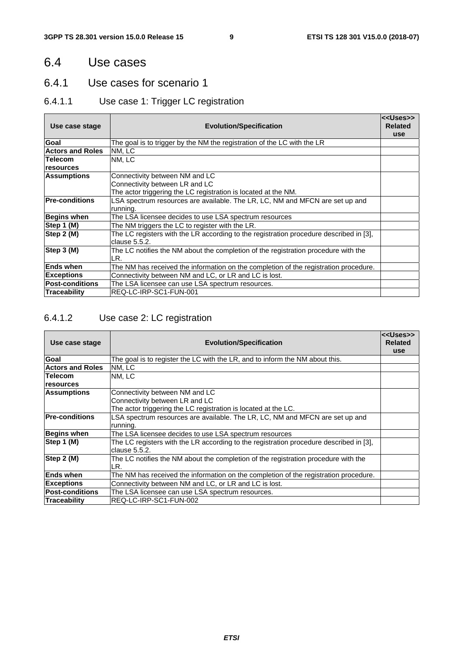#### 6.4 Use cases

#### 6.4.1 Use cases for scenario 1

#### 6.4.1.1 Use case 1: Trigger LC registration

| Use case stage          | <b>Evolution/Specification</b>                                                                          | < <uses>&gt;<br/><b>Related</b><br/><b>use</b></uses> |
|-------------------------|---------------------------------------------------------------------------------------------------------|-------------------------------------------------------|
| Goal                    | The goal is to trigger by the NM the registration of the LC with the LR                                 |                                                       |
| <b>Actors and Roles</b> | NM. LC                                                                                                  |                                                       |
| <b>Telecom</b>          | NM, LC                                                                                                  |                                                       |
| resources               |                                                                                                         |                                                       |
| <b>Assumptions</b>      | Connectivity between NM and LC                                                                          |                                                       |
|                         | Connectivity between LR and LC                                                                          |                                                       |
|                         | The actor triggering the LC registration is located at the NM.                                          |                                                       |
| <b>Pre-conditions</b>   | LSA spectrum resources are available. The LR, LC, NM and MFCN are set up and                            |                                                       |
|                         | running.                                                                                                |                                                       |
| <b>Begins when</b>      | The LSA licensee decides to use LSA spectrum resources                                                  |                                                       |
| Step 1 (M)              | The NM triggers the LC to register with the LR.                                                         |                                                       |
| Step $2(M)$             | The LC registers with the LR according to the registration procedure described in [3],<br>clause 5.5.2. |                                                       |
| Step 3 (M)              | The LC notifies the NM about the completion of the registration procedure with the<br>LR.               |                                                       |
| <b>Ends when</b>        | The NM has received the information on the completion of the registration procedure.                    |                                                       |
| Exceptions              | Connectivity between NM and LC, or LR and LC is lost.                                                   |                                                       |
| <b>Post-conditions</b>  | The LSA licensee can use LSA spectrum resources.                                                        |                                                       |
| Traceability            | REQ-LC-IRP-SC1-FUN-001                                                                                  |                                                       |

#### 6.4.1.2 Use case 2: LC registration

| Use case stage          | <b>Evolution/Specification</b>                                                         | < <uses>&gt;<br/><b>Related</b><br/><b>use</b></uses> |
|-------------------------|----------------------------------------------------------------------------------------|-------------------------------------------------------|
| Goal                    | The goal is to register the LC with the LR, and to inform the NM about this.           |                                                       |
| <b>Actors and Roles</b> | NM. LC                                                                                 |                                                       |
| <b>Telecom</b>          | NM, LC                                                                                 |                                                       |
| resources               |                                                                                        |                                                       |
| Assumptions             | Connectivity between NM and LC                                                         |                                                       |
|                         | Connectivity between LR and LC                                                         |                                                       |
|                         | The actor triggering the LC registration is located at the LC.                         |                                                       |
| <b>Pre-conditions</b>   | LSA spectrum resources are available. The LR, LC, NM and MFCN are set up and           |                                                       |
|                         | running.                                                                               |                                                       |
| Begins when             | The LSA licensee decides to use LSA spectrum resources                                 |                                                       |
| Step 1 (M)              | The LC registers with the LR according to the registration procedure described in [3], |                                                       |
|                         | clause 5.5.2.                                                                          |                                                       |
| Step 2 (M)              | The LC notifies the NM about the completion of the registration procedure with the     |                                                       |
|                         | LR.                                                                                    |                                                       |
| <b>Ends when</b>        | The NM has received the information on the completion of the registration procedure.   |                                                       |
| Exceptions              | Connectivity between NM and LC, or LR and LC is lost.                                  |                                                       |
| <b>Post-conditions</b>  | The LSA licensee can use LSA spectrum resources.                                       |                                                       |
| Traceability            | REQ-LC-IRP-SC1-FUN-002                                                                 |                                                       |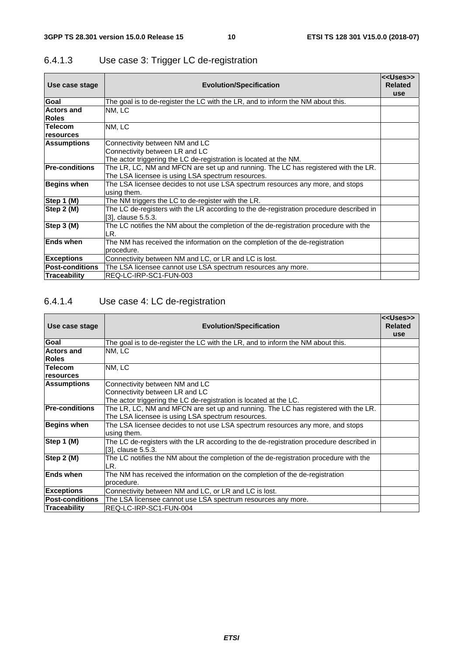| Use case stage         | <b>Evolution/Specification</b>                                                          | < <uses>&gt;<br/><b>Related</b></uses> |
|------------------------|-----------------------------------------------------------------------------------------|----------------------------------------|
|                        |                                                                                         | <b>use</b>                             |
| Goal                   | The goal is to de-register the LC with the LR, and to inform the NM about this.         |                                        |
| <b>Actors and</b>      | NM, LC                                                                                  |                                        |
| <b>Roles</b>           |                                                                                         |                                        |
| <b>Telecom</b>         | NM, LC                                                                                  |                                        |
| resources              |                                                                                         |                                        |
| <b>Assumptions</b>     | Connectivity between NM and LC                                                          |                                        |
|                        | Connectivity between LR and LC                                                          |                                        |
|                        | The actor triggering the LC de-registration is located at the NM.                       |                                        |
| <b>Pre-conditions</b>  | The LR, LC, NM and MFCN are set up and running. The LC has registered with the LR.      |                                        |
|                        | The LSA licensee is using LSA spectrum resources.                                       |                                        |
| Begins when            | The LSA licensee decides to not use LSA spectrum resources any more, and stops          |                                        |
|                        | using them.                                                                             |                                        |
| Step 1 (M)             | The NM triggers the LC to de-register with the LR.                                      |                                        |
| Step 2 (M)             | The LC de-registers with the LR according to the de-registration procedure described in |                                        |
|                        | [3], clause 5.5.3.                                                                      |                                        |
| Step 3 (M)             | The LC notifies the NM about the completion of the de-registration procedure with the   |                                        |
|                        | LR.                                                                                     |                                        |
| <b>Ends when</b>       | The NM has received the information on the completion of the de-registration            |                                        |
|                        | procedure.                                                                              |                                        |
| <b>Exceptions</b>      | Connectivity between NM and LC, or LR and LC is lost.                                   |                                        |
| <b>Post-conditions</b> | The LSA licensee cannot use LSA spectrum resources any more.                            |                                        |
| Traceability           | REQ-LC-IRP-SC1-FUN-003                                                                  |                                        |

#### 6.4.1.3 Use case 3: Trigger LC de-registration

#### 6.4.1.4 Use case 4: LC de-registration

| Use case stage                    | <b>Evolution/Specification</b>                                                                                                          | < <uses>&gt;<br/><b>Related</b><br/><b>use</b></uses> |
|-----------------------------------|-----------------------------------------------------------------------------------------------------------------------------------------|-------------------------------------------------------|
| Goal                              | The goal is to de-register the LC with the LR, and to inform the NM about this.                                                         |                                                       |
| <b>Actors and</b><br><b>Roles</b> | NM. LC                                                                                                                                  |                                                       |
| <b>Telecom</b><br>resources       | NM, LC                                                                                                                                  |                                                       |
| Assumptions                       | Connectivity between NM and LC<br>Connectivity between LR and LC<br>The actor triggering the LC de-registration is located at the LC.   |                                                       |
| <b>Pre-conditions</b>             | The LR, LC, NM and MFCN are set up and running. The LC has registered with the LR.<br>The LSA licensee is using LSA spectrum resources. |                                                       |
| Begins when                       | The LSA licensee decides to not use LSA spectrum resources any more, and stops<br>using them.                                           |                                                       |
| Step 1 (M)                        | The LC de-registers with the LR according to the de-registration procedure described in<br>[3], clause 5.5.3.                           |                                                       |
| Step 2 (M)                        | The LC notifies the NM about the completion of the de-registration procedure with the<br>LR.                                            |                                                       |
| <b>Ends when</b>                  | The NM has received the information on the completion of the de-registration<br>procedure.                                              |                                                       |
| <b>Exceptions</b>                 | Connectivity between NM and LC, or LR and LC is lost.                                                                                   |                                                       |
| <b>Post-conditions</b>            | The LSA licensee cannot use LSA spectrum resources any more.                                                                            |                                                       |
| Traceability                      | REQ-LC-IRP-SC1-FUN-004                                                                                                                  |                                                       |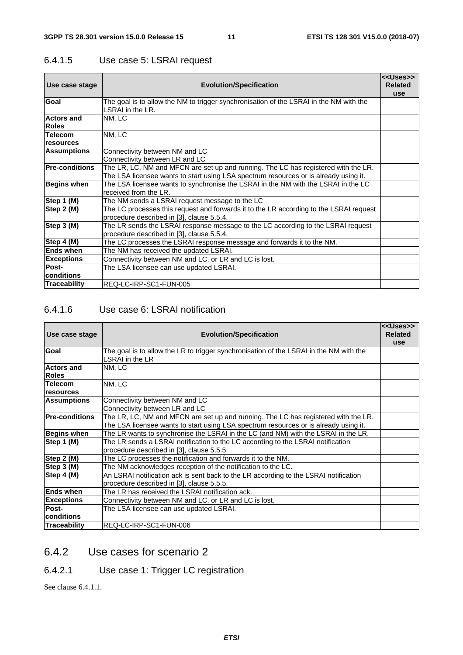#### 6.4.1.5 Use case 5: LSRAI request

| Use case stage                    | <b>Evolution/Specification</b>                                                                                                                                             | < <uses>&gt;<br/><b>Related</b><br/><b>use</b></uses> |
|-----------------------------------|----------------------------------------------------------------------------------------------------------------------------------------------------------------------------|-------------------------------------------------------|
| Goal                              | The goal is to allow the NM to trigger synchronisation of the LSRAI in the NM with the<br>LSRAI in the LR.                                                                 |                                                       |
| <b>Actors and</b><br><b>Roles</b> | NM, LC                                                                                                                                                                     |                                                       |
| <b>Telecom</b>                    | NM, LC                                                                                                                                                                     |                                                       |
| <b>resources</b>                  |                                                                                                                                                                            |                                                       |
| <b>Assumptions</b>                | Connectivity between NM and LC<br>Connectivity between LR and LC                                                                                                           |                                                       |
| <b>Pre-conditions</b>             | The LR, LC, NM and MFCN are set up and running. The LC has registered with the LR.<br>The LSA licensee wants to start using LSA spectrum resources or is already using it. |                                                       |
| Begins when                       | The LSA licensee wants to synchronise the LSRAI in the NM with the LSRAI in the LC<br>received from the LR.                                                                |                                                       |
| Step 1 (M)                        | The NM sends a LSRAI request message to the LC                                                                                                                             |                                                       |
| Step 2 (M)                        | The LC processes this request and forwards it to the LR according to the LSRAI request<br>procedure described in [3], clause 5.5.4.                                        |                                                       |
| Step 3 (M)                        | The LR sends the LSRAI response message to the LC according to the LSRAI request<br>procedure described in [3], clause 5.5.4.                                              |                                                       |
| Step 4 (M)                        | The LC processes the LSRAI response message and forwards it to the NM.                                                                                                     |                                                       |
| <b>Ends when</b>                  | The NM has received the updated LSRAI.                                                                                                                                     |                                                       |
| Exceptions                        | Connectivity between NM and LC, or LR and LC is lost.                                                                                                                      |                                                       |
| Post-                             | The LSA licensee can use updated LSRAI.                                                                                                                                    |                                                       |
| Iconditions                       |                                                                                                                                                                            |                                                       |
| Traceability                      | REQ-LC-IRP-SC1-FUN-005                                                                                                                                                     |                                                       |

#### 6.4.1.6 Use case 6: LSRAI notification

|                                   |                                                                                                           | < <uses>&gt;<br/><b>Related</b></uses> |
|-----------------------------------|-----------------------------------------------------------------------------------------------------------|----------------------------------------|
| Use case stage                    | <b>Evolution/Specification</b>                                                                            | <b>use</b>                             |
| Goal                              | The goal is to allow the LR to trigger synchronisation of the LSRAI in the NM with the<br>LSRAI in the LR |                                        |
| <b>Actors and</b><br><b>Roles</b> | NM, LC                                                                                                    |                                        |
| <b>Telecom</b>                    | NM, LC                                                                                                    |                                        |
| resources                         |                                                                                                           |                                        |
| <b>Assumptions</b>                | Connectivity between NM and LC                                                                            |                                        |
|                                   | Connectivity between LR and LC                                                                            |                                        |
| <b>Pre-conditions</b>             | The LR, LC, NM and MFCN are set up and running. The LC has registered with the LR.                        |                                        |
|                                   | The LSA licensee wants to start using LSA spectrum resources or is already using it.                      |                                        |
| <b>Begins when</b>                | The LR wants to synchronise the LSRAI in the LC (and NM) with the LSRAI in the LR.                        |                                        |
| Step 1 (M)                        | The LR sends a LSRAI notification to the LC according to the LSRAI notification                           |                                        |
|                                   | procedure described in [3], clause 5.5.5.                                                                 |                                        |
| Step 2 (M)                        | The LC processes the notification and forwards it to the NM.                                              |                                        |
| Step 3 (M)                        | The NM acknowledges reception of the notification to the LC.                                              |                                        |
| Step 4 (M)                        | An LSRAI notification ack is sent back to the LR according to the LSRAI notification                      |                                        |
|                                   | procedure described in [3], clause 5.5.5.                                                                 |                                        |
| <b>Ends when</b>                  | The LR has received the LSRAI notification ack.                                                           |                                        |
| <b>Exceptions</b>                 | Connectivity between NM and LC, or LR and LC is lost.                                                     |                                        |
| Post-                             | The LSA licensee can use updated LSRAI.                                                                   |                                        |
| Iconditions                       |                                                                                                           |                                        |
| Traceability                      | REQ-LC-IRP-SC1-FUN-006                                                                                    |                                        |

#### 6.4.2 Use cases for scenario 2

### 6.4.2.1 Use case 1: Trigger LC registration

See clause 6.4.1.1.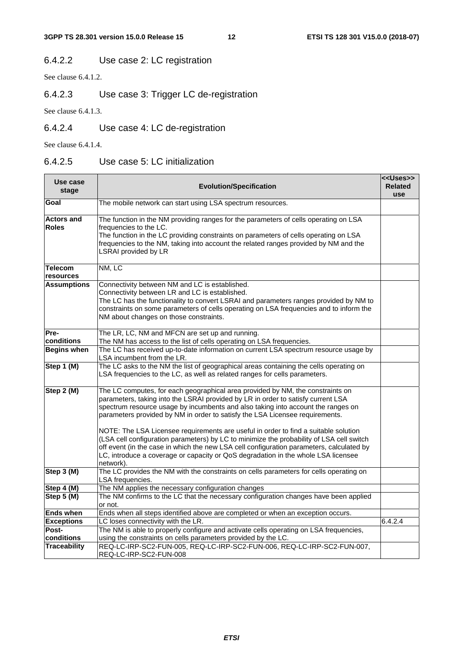#### 6.4.2.2 Use case 2: LC registration

See clause 6.4.1.2.

#### 6.4.2.3 Use case 3: Trigger LC de-registration

See clause 6.4.1.3.

#### 6.4.2.4 Use case 4: LC de-registration

See clause 6.4.1.4.

#### 6.4.2.5 Use case 5: LC initialization

| Use case                          | <b>Evolution/Specification</b>                                                                                                                                       | < <uses>&gt;<br/><b>Related</b></uses> |
|-----------------------------------|----------------------------------------------------------------------------------------------------------------------------------------------------------------------|----------------------------------------|
| stage                             |                                                                                                                                                                      | use                                    |
| Goal                              | The mobile network can start using LSA spectrum resources.                                                                                                           |                                        |
| <b>Actors and</b>                 | The function in the NM providing ranges for the parameters of cells operating on LSA                                                                                 |                                        |
| <b>Roles</b>                      | frequencies to the LC.                                                                                                                                               |                                        |
|                                   | The function in the LC providing constraints on parameters of cells operating on LSA                                                                                 |                                        |
|                                   | frequencies to the NM, taking into account the related ranges provided by NM and the<br><b>LSRAI</b> provided by LR                                                  |                                        |
| <b>Telecom</b><br>resources       | NM, LC                                                                                                                                                               |                                        |
| <b>Assumptions</b>                | Connectivity between NM and LC is established.                                                                                                                       |                                        |
|                                   | Connectivity between LR and LC is established.                                                                                                                       |                                        |
|                                   | The LC has the functionality to convert LSRAI and parameters ranges provided by NM to                                                                                |                                        |
|                                   | constraints on some parameters of cells operating on LSA frequencies and to inform the                                                                               |                                        |
|                                   | NM about changes on those constraints.                                                                                                                               |                                        |
| Pre-                              | The LR, LC, NM and MFCN are set up and running.                                                                                                                      |                                        |
| conditions                        | The NM has access to the list of cells operating on LSA frequencies.                                                                                                 |                                        |
| <b>Begins when</b>                | The LC has received up-to-date information on current LSA spectrum resource usage by                                                                                 |                                        |
|                                   | LSA incumbent from the LR.                                                                                                                                           |                                        |
| Step 1 (M)                        | The LC asks to the NM the list of geographical areas containing the cells operating on<br>LSA frequencies to the LC, as well as related ranges for cells parameters. |                                        |
| Step 2 (M)                        | The LC computes, for each geographical area provided by NM, the constraints on                                                                                       |                                        |
|                                   | parameters, taking into the LSRAI provided by LR in order to satisfy current LSA                                                                                     |                                        |
|                                   | spectrum resource usage by incumbents and also taking into account the ranges on<br>parameters provided by NM in order to satisfy the LSA Licensee requirements.     |                                        |
|                                   | NOTE: The LSA Licensee requirements are useful in order to find a suitable solution                                                                                  |                                        |
|                                   | (LSA cell configuration parameters) by LC to minimize the probability of LSA cell switch                                                                             |                                        |
|                                   | off event (in the case in which the new LSA cell configuration parameters, calculated by                                                                             |                                        |
|                                   | LC, introduce a coverage or capacity or QoS degradation in the whole LSA licensee<br>network).                                                                       |                                        |
| Step 3 (M)                        | The LC provides the NM with the constraints on cells parameters for cells operating on                                                                               |                                        |
|                                   | LSA frequencies.                                                                                                                                                     |                                        |
| Step 4 (M)                        | The NM applies the necessary configuration changes                                                                                                                   |                                        |
| Step 5 (M)                        | The NM confirms to the LC that the necessary configuration changes have been applied                                                                                 |                                        |
|                                   | or not.                                                                                                                                                              |                                        |
| <b>Ends when</b>                  | Ends when all steps identified above are completed or when an exception occurs.                                                                                      |                                        |
| <b>Exceptions</b>                 | LC loses connectivity with the LR.                                                                                                                                   | 6.4.2.4                                |
| Post-                             | The NM is able to properly configure and activate cells operating on LSA frequencies,                                                                                |                                        |
| conditions<br><b>Traceability</b> | using the constraints on cells parameters provided by the LC.<br>REQ-LC-IRP-SC2-FUN-005, REQ-LC-IRP-SC2-FUN-006, REQ-LC-IRP-SC2-FUN-007,                             |                                        |
|                                   | REQ-LC-IRP-SC2-FUN-008                                                                                                                                               |                                        |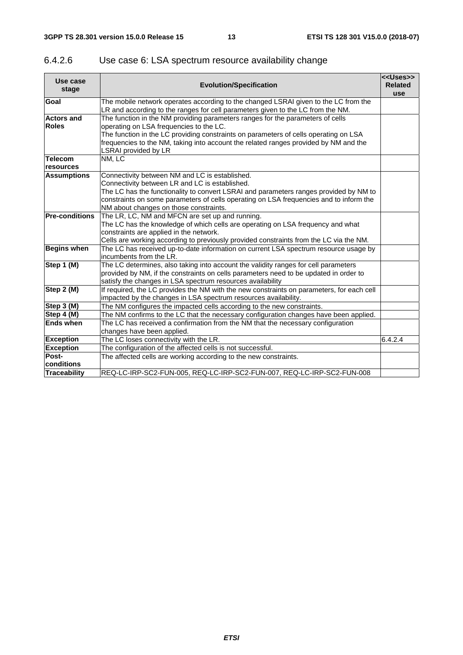| Use case<br>stage                 | <b>Evolution/Specification</b>                                                                                                                                                                                                                                                                                                           | < <uses>&gt;<br/><b>Related</b><br/>use</uses> |
|-----------------------------------|------------------------------------------------------------------------------------------------------------------------------------------------------------------------------------------------------------------------------------------------------------------------------------------------------------------------------------------|------------------------------------------------|
| Goal                              | The mobile network operates according to the changed LSRAI given to the LC from the<br>LR and according to the ranges for cell parameters given to the LC from the NM.                                                                                                                                                                   |                                                |
| <b>Actors and</b><br><b>Roles</b> | The function in the NM providing parameters ranges for the parameters of cells<br>operating on LSA frequencies to the LC.<br>The function in the LC providing constraints on parameters of cells operating on LSA<br>frequencies to the NM, taking into account the related ranges provided by NM and the<br><b>LSRAI</b> provided by LR |                                                |
| <b>Telecom</b><br>resources       | NM, LC                                                                                                                                                                                                                                                                                                                                   |                                                |
| <b>Assumptions</b>                | Connectivity between NM and LC is established.<br>Connectivity between LR and LC is established.<br>The LC has the functionality to convert LSRAI and parameters ranges provided by NM to<br>constraints on some parameters of cells operating on LSA frequencies and to inform the<br>NM about changes on those constraints.            |                                                |
| <b>Pre-conditions</b>             | The LR, LC, NM and MFCN are set up and running.<br>The LC has the knowledge of which cells are operating on LSA frequency and what<br>constraints are applied in the network.<br>Cells are working according to previously provided constraints from the LC via the NM.                                                                  |                                                |
| <b>Begins when</b>                | The LC has received up-to-date information on current LSA spectrum resource usage by<br>incumbents from the LR.                                                                                                                                                                                                                          |                                                |
| Step 1 (M)                        | The LC determines, also taking into account the validity ranges for cell parameters<br>provided by NM, if the constraints on cells parameters need to be updated in order to<br>satisfy the changes in LSA spectrum resources availability                                                                                               |                                                |
| Step 2 (M)                        | If required, the LC provides the NM with the new constraints on parameters, for each cell<br>impacted by the changes in LSA spectrum resources availability.                                                                                                                                                                             |                                                |
| Step 3 (M)                        | The NM configures the impacted cells according to the new constraints.                                                                                                                                                                                                                                                                   |                                                |
| Step 4 (M)                        | The NM confirms to the LC that the necessary configuration changes have been applied.                                                                                                                                                                                                                                                    |                                                |
| <b>Ends when</b>                  | The LC has received a confirmation from the NM that the necessary configuration<br>changes have been applied.                                                                                                                                                                                                                            |                                                |
| <b>Exception</b>                  | The LC loses connectivity with the LR.                                                                                                                                                                                                                                                                                                   | 6.4.2.4                                        |
| <b>Exception</b>                  | The configuration of the affected cells is not successful.                                                                                                                                                                                                                                                                               |                                                |
| Post-<br><b>conditions</b>        | The affected cells are working according to the new constraints.                                                                                                                                                                                                                                                                         |                                                |
| <b>Traceability</b>               | REQ-LC-IRP-SC2-FUN-005, REQ-LC-IRP-SC2-FUN-007, REQ-LC-IRP-SC2-FUN-008                                                                                                                                                                                                                                                                   |                                                |

#### 6.4.2.6 Use case 6: LSA spectrum resource availability change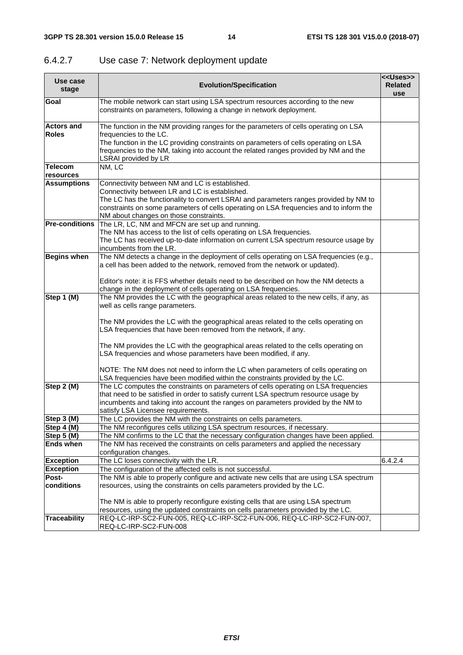| Use case<br>stage     | < <uses>&gt;<br/><b>Evolution/Specification</b></uses>                                                                                                                                                                                                                                                 |         |  |  |  |  |
|-----------------------|--------------------------------------------------------------------------------------------------------------------------------------------------------------------------------------------------------------------------------------------------------------------------------------------------------|---------|--|--|--|--|
| Goal                  | The mobile network can start using LSA spectrum resources according to the new<br>constraints on parameters, following a change in network deployment.                                                                                                                                                 |         |  |  |  |  |
| <b>Actors and</b>     | The function in the NM providing ranges for the parameters of cells operating on LSA                                                                                                                                                                                                                   |         |  |  |  |  |
| <b>Roles</b>          | frequencies to the LC.                                                                                                                                                                                                                                                                                 |         |  |  |  |  |
|                       | The function in the LC providing constraints on parameters of cells operating on LSA<br>frequencies to the NM, taking into account the related ranges provided by NM and the<br><b>LSRAI provided by LR</b>                                                                                            |         |  |  |  |  |
| <b>Telecom</b>        | NM, LC                                                                                                                                                                                                                                                                                                 |         |  |  |  |  |
| resources             |                                                                                                                                                                                                                                                                                                        |         |  |  |  |  |
| <b>Assumptions</b>    | Connectivity between NM and LC is established.                                                                                                                                                                                                                                                         |         |  |  |  |  |
|                       | Connectivity between LR and LC is established.<br>The LC has the functionality to convert LSRAI and parameters ranges provided by NM to                                                                                                                                                                |         |  |  |  |  |
|                       | constraints on some parameters of cells operating on LSA frequencies and to inform the<br>NM about changes on those constraints.                                                                                                                                                                       |         |  |  |  |  |
| <b>Pre-conditions</b> | The LR, LC, NM and MFCN are set up and running.                                                                                                                                                                                                                                                        |         |  |  |  |  |
|                       | The NM has access to the list of cells operating on LSA frequencies.                                                                                                                                                                                                                                   |         |  |  |  |  |
|                       | The LC has received up-to-date information on current LSA spectrum resource usage by<br>incumbents from the LR.                                                                                                                                                                                        |         |  |  |  |  |
| <b>Begins when</b>    | The NM detects a change in the deployment of cells operating on LSA frequencies (e.g.,<br>a cell has been added to the network, removed from the network or updated).                                                                                                                                  |         |  |  |  |  |
|                       | Editor's note: it is FFS whether details need to be described on how the NM detects a<br>change in the deployment of cells operating on LSA frequencies.                                                                                                                                               |         |  |  |  |  |
| Step 1 (M)            | The NM provides the LC with the geographical areas related to the new cells, if any, as<br>well as cells range parameters.                                                                                                                                                                             |         |  |  |  |  |
|                       | The NM provides the LC with the geographical areas related to the cells operating on<br>LSA frequencies that have been removed from the network, if any.                                                                                                                                               |         |  |  |  |  |
|                       | The NM provides the LC with the geographical areas related to the cells operating on<br>LSA frequencies and whose parameters have been modified, if any.                                                                                                                                               |         |  |  |  |  |
|                       | NOTE: The NM does not need to inform the LC when parameters of cells operating on<br>LSA frequencies have been modified within the constraints provided by the LC.                                                                                                                                     |         |  |  |  |  |
| Step 2 (M)            | The LC computes the constraints on parameters of cells operating on LSA frequencies<br>that need to be satisfied in order to satisfy current LSA spectrum resource usage by<br>incumbents and taking into account the ranges on parameters provided by the NM to<br>satisfy LSA Licensee requirements. |         |  |  |  |  |
| Step 3 (M)            | The LC provides the NM with the constraints on cells parameters.                                                                                                                                                                                                                                       |         |  |  |  |  |
| Step 4 (M)            | The NM reconfigures cells utilizing LSA spectrum resources, if necessary.                                                                                                                                                                                                                              |         |  |  |  |  |
| Step 5 (M)            | The NM confirms to the LC that the necessary configuration changes have been applied.                                                                                                                                                                                                                  |         |  |  |  |  |
| <b>Ends when</b>      | The NM has received the constraints on cells parameters and applied the necessary<br>configuration changes.                                                                                                                                                                                            |         |  |  |  |  |
| <b>Exception</b>      | The LC loses connectivity with the LR.                                                                                                                                                                                                                                                                 | 6.4.2.4 |  |  |  |  |
| <b>Exception</b>      | The configuration of the affected cells is not successful.                                                                                                                                                                                                                                             |         |  |  |  |  |
| Post-                 | The NM is able to properly configure and activate new cells that are using LSA spectrum                                                                                                                                                                                                                |         |  |  |  |  |
| conditions            | resources, using the constraints on cells parameters provided by the LC.                                                                                                                                                                                                                               |         |  |  |  |  |
|                       | The NM is able to properly reconfigure existing cells that are using LSA spectrum                                                                                                                                                                                                                      |         |  |  |  |  |
|                       | resources, using the updated constraints on cells parameters provided by the LC.                                                                                                                                                                                                                       |         |  |  |  |  |
| <b>Traceability</b>   | REQ-LC-IRP-SC2-FUN-005, REQ-LC-IRP-SC2-FUN-006, REQ-LC-IRP-SC2-FUN-007,<br>REQ-LC-IRP-SC2-FUN-008                                                                                                                                                                                                      |         |  |  |  |  |

#### 6.4.2.7 Use case 7: Network deployment update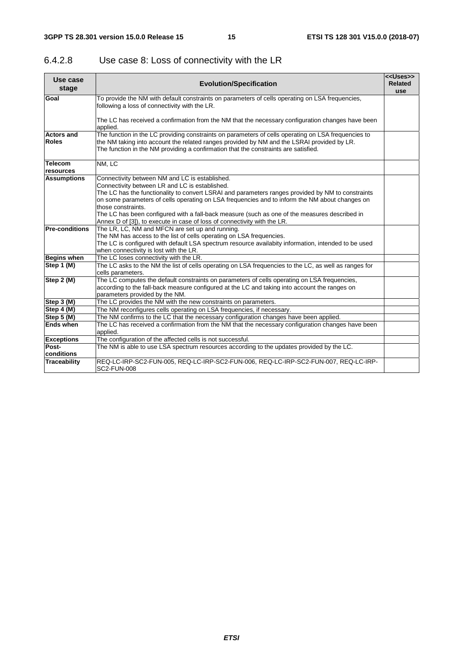| 6.4.2.8 | Use case 8: Loss of connectivity with the LR |
|---------|----------------------------------------------|
|---------|----------------------------------------------|

| Use case<br>stage                 | <b>Evolution/Specification</b>                                                                                                                                                                                                                                                                                                                                                                                                                                                                             |  |  |  |  |  |
|-----------------------------------|------------------------------------------------------------------------------------------------------------------------------------------------------------------------------------------------------------------------------------------------------------------------------------------------------------------------------------------------------------------------------------------------------------------------------------------------------------------------------------------------------------|--|--|--|--|--|
| Goal                              | To provide the NM with default constraints on parameters of cells operating on LSA frequencies,<br>following a loss of connectivity with the LR.                                                                                                                                                                                                                                                                                                                                                           |  |  |  |  |  |
|                                   | The LC has received a confirmation from the NM that the necessary configuration changes have been<br>applied.                                                                                                                                                                                                                                                                                                                                                                                              |  |  |  |  |  |
| <b>Actors and</b><br><b>Roles</b> | The function in the LC providing constraints on parameters of cells operating on LSA frequencies to<br>the NM taking into account the related ranges provided by NM and the LSRAI provided by LR.<br>The function in the NM providing a confirmation that the constraints are satisfied.                                                                                                                                                                                                                   |  |  |  |  |  |
| <b>Telecom</b><br>resources       | NM, LC                                                                                                                                                                                                                                                                                                                                                                                                                                                                                                     |  |  |  |  |  |
| <b>Assumptions</b>                | Connectivity between NM and LC is established.<br>Connectivity between LR and LC is established.<br>The LC has the functionality to convert LSRAI and parameters ranges provided by NM to constraints<br>on some parameters of cells operating on LSA frequencies and to inform the NM about changes on<br>those constraints.<br>The LC has been configured with a fall-back measure (such as one of the measures described in<br>Annex D of [3]), to execute in case of loss of connectivity with the LR. |  |  |  |  |  |
| <b>Pre-conditions</b>             | The LR, LC, NM and MFCN are set up and running.<br>The NM has access to the list of cells operating on LSA frequencies.<br>The LC is configured with default LSA spectrum resource availabity information, intended to be used<br>when connectivity is lost with the LR.                                                                                                                                                                                                                                   |  |  |  |  |  |
| <b>Begins when</b>                | The LC loses connectivity with the LR.                                                                                                                                                                                                                                                                                                                                                                                                                                                                     |  |  |  |  |  |
| Step 1 (M)                        | The LC asks to the NM the list of cells operating on LSA frequencies to the LC, as well as ranges for<br>cells parameters.                                                                                                                                                                                                                                                                                                                                                                                 |  |  |  |  |  |
| Step 2 (M)                        | The LC computes the default constraints on parameters of cells operating on LSA frequencies,<br>according to the fall-back measure configured at the LC and taking into account the ranges on<br>parameters provided by the NM.                                                                                                                                                                                                                                                                            |  |  |  |  |  |
| Step 3 (M)                        | The LC provides the NM with the new constraints on parameters.                                                                                                                                                                                                                                                                                                                                                                                                                                             |  |  |  |  |  |
| Step 4 (M)                        | The NM reconfigures cells operating on LSA frequencies, if necessary.                                                                                                                                                                                                                                                                                                                                                                                                                                      |  |  |  |  |  |
| Step 5 (M)                        | The NM confirms to the LC that the necessary configuration changes have been applied.                                                                                                                                                                                                                                                                                                                                                                                                                      |  |  |  |  |  |
| <b>Ends when</b>                  | The LC has received a confirmation from the NM that the necessary configuration changes have been<br>applied.                                                                                                                                                                                                                                                                                                                                                                                              |  |  |  |  |  |
| <b>Exceptions</b>                 | The configuration of the affected cells is not successful.                                                                                                                                                                                                                                                                                                                                                                                                                                                 |  |  |  |  |  |
| Post-<br>conditions               | The NM is able to use LSA spectrum resources according to the updates provided by the LC.                                                                                                                                                                                                                                                                                                                                                                                                                  |  |  |  |  |  |
| Traceability                      | REQ-LC-IRP-SC2-FUN-005, REQ-LC-IRP-SC2-FUN-006, REQ-LC-IRP-SC2-FUN-007, REQ-LC-IRP-<br><b>SC2-FUN-008</b>                                                                                                                                                                                                                                                                                                                                                                                                  |  |  |  |  |  |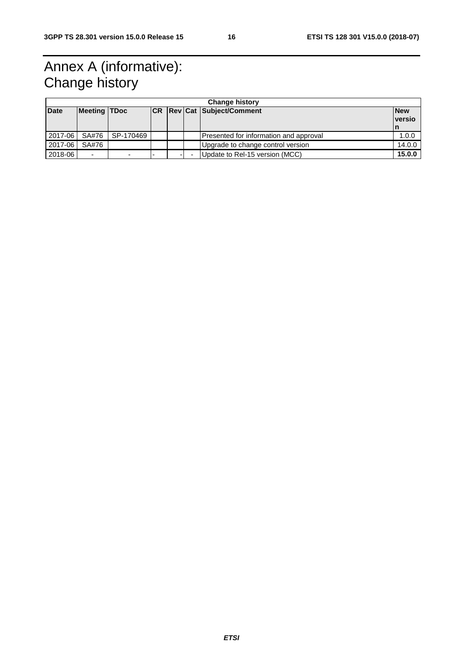## Annex A (informative): Change history

| <b>Change history</b> |                          |           |  |  |  |                                        |                              |
|-----------------------|--------------------------|-----------|--|--|--|----------------------------------------|------------------------------|
| <b>Date</b>           | <b>Meeting TDoc</b>      |           |  |  |  | <b>CR Rev Cat Subject/Comment</b>      | <b>New</b><br><u>Iversio</u> |
|                       |                          |           |  |  |  |                                        | ۱n                           |
| 2017-06               | SA#76                    | SP-170469 |  |  |  | Presented for information and approval | 1.0.0                        |
| 2017-06               | SA#76                    |           |  |  |  | Upgrade to change control version      | 14.0.0                       |
| 2018-06               | $\overline{\phantom{0}}$ |           |  |  |  | Update to Rel-15 version (MCC)         | 15.0.0                       |